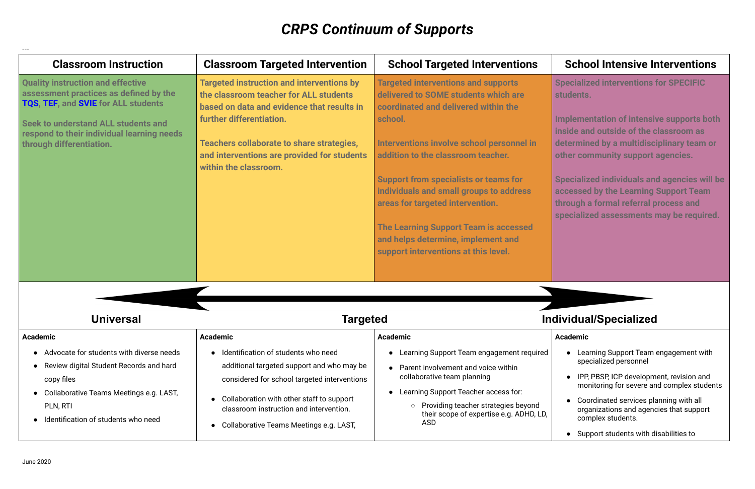# *CRPS Continuum of Supports*

---

## **School Intensive Interventions**

**Specialized interventions for SPECIFIC students.**

| <b>Classroom Instruction</b>                                                                                                                                                                                                                              | <b>Classroom Targeted Intervention</b>                                                                                                                                                                                                                                                    | <b>School Targeted Interventions</b>                                                                                                                                                                                                                                                                                                                                                                                                                                                  |
|-----------------------------------------------------------------------------------------------------------------------------------------------------------------------------------------------------------------------------------------------------------|-------------------------------------------------------------------------------------------------------------------------------------------------------------------------------------------------------------------------------------------------------------------------------------------|---------------------------------------------------------------------------------------------------------------------------------------------------------------------------------------------------------------------------------------------------------------------------------------------------------------------------------------------------------------------------------------------------------------------------------------------------------------------------------------|
| <b>Quality instruction and effective</b><br>assessment practices as defined by the<br>TQS, TEF, and <b>SVIE</b> for ALL students<br>Seek to understand ALL students and<br>respond to their individual learning needs<br>through differentiation.         | <b>Targeted instruction and interventions by</b><br>the classroom teacher for ALL students<br>based on data and evidence that results in<br>further differentiation.<br>Teachers collaborate to share strategies,<br>and interventions are provided for students<br>within the classroom. | <b>Targeted interventions and supports</b><br>delivered to SOME students which are<br>coordinated and delivered within the<br>school.<br>Interventions involve school personnel in<br>addition to the classroom teacher.<br><b>Support from specialists or teams for</b><br>individuals and small groups to address<br>areas for targeted intervention.<br><b>The Learning Support Team is accessed</b><br>and helps determine, implement and<br>support interventions at this level. |
| <b>Universal</b>                                                                                                                                                                                                                                          | <b>Targeted</b>                                                                                                                                                                                                                                                                           | <b>Inc</b>                                                                                                                                                                                                                                                                                                                                                                                                                                                                            |
| <b>Academic</b><br>Advocate for students with diverse needs<br>$\bullet$<br>Review digital Student Records and hard<br>$\bullet$<br>copy files<br>Collaborative Teams Meetings e.g. LAST,<br>$\bullet$<br>PLN, RTI<br>Identification of students who need | <b>Academic</b><br>Identification of students who need<br>additional targeted support and who may be<br>considered for school targeted interventions<br>Collaboration with other staff to support<br>classroom instruction and intervention.<br>Collaborative Teams Meetings e.g. LAST,   | <b>Academic</b><br>Learning Support Team engagement required<br>Parent involvement and voice within<br>collaborative team planning<br>Learning Support Teacher access for:<br>Providing teacher strategies beyond<br>$\circ$<br>their scope of expertise e.g. ADHD, LD,<br><b>ASD</b>                                                                                                                                                                                                 |

**Implementation of intensive supports both inside and outside of the classroom as determined by a multidisciplinary team or other community support agencies.**

**Specialized individuals and agencies will be accessed by the Learning Support Team through a formal referral process and specialized assessments may be required.**

## **Universal Targeted Individual/Specialized**

#### **Academic**

- Learning Support Team engagement with specialized personnel
- IPP, PBSP, ICP development, revision and monitoring for severe and complex students
- Coordinated services planning with all organizations and agencies that support complex students.
- Support students with disabilities to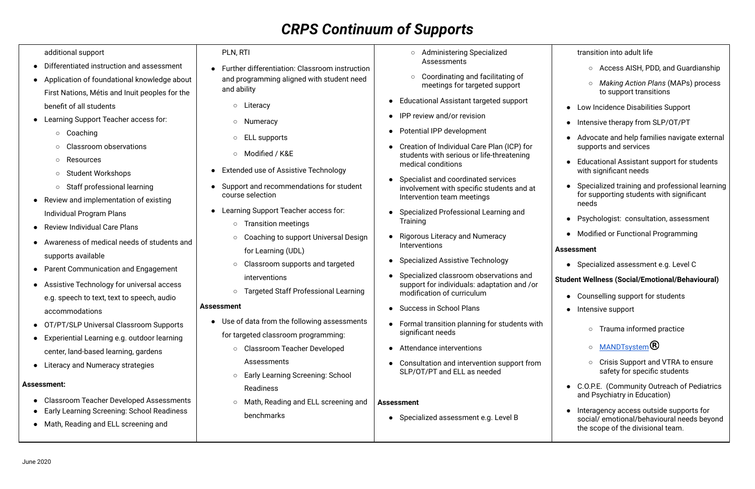# *CRPS Continuum of Supports*

additional support

- Differentiated instruction and assessment
- Application of foundational knowledge about First Nations, Métis and Inuit peoples for the benefit of all students
- Learning Support Teacher access for:
	- Coaching
	- Classroom observations
	- Resources
	- Student Workshops
	- Staff professional learning
- Review and implementation of existing Individual Program Plans
- Review Individual Care Plans
- Awareness of medical needs of students and supports available
- Parent Communication and Engagement
- Assistive Technology for universal access e.g. speech to text, text to speech, audio accommodations
- OT/PT/SLP Universal Classroom Supports
- Experiential Learning e.g. outdoor learning center, land-based learning, gardens
- Literacy and Numeracy strategies

### **Assessment:**

- Administering Specialized Assessments
- Coordinating and facilitating of meetings for targeted support
- Educational Assistant targeted support
- IPP review and/or revision
- **Potential IPP development**
- Creation of Individual Care Plan (ICP) for students with serious or life-threatening medical conditions
- Specialist and coordinated services involvement with specific students and at Intervention team meetings
- Specialized Professional Learning and **Training**
- Rigorous Literacy and Numeracy Interventions
- Specialized Assistive Technology
- Specialized classroom observations and support for individuals: adaptation and /or modification of curriculum
- Success in School Plans
- Formal transition planning for students with significant needs
- Attendance interventions
- Consultation and intervention support from SLP/OT/PT and FLL as needed

- Classroom Teacher Developed Assessments
- **Early Learning Screening: School Readiness**
- Math, Reading and ELL screening and

PLN, RTI

- Further differentiation: Classroom instruction and programming aligned with student need and ability
	- Literacy
	- Numeracy
	- ELL supports
	- Modified / K&E
- Extended use of Assistive Technology
- Support and recommendations for student course selection
- Learning Support Teacher access for:
	- Transition meetings
	- Coaching to support Universal Design for Learning (UDL)
	- Classroom supports and targeted interventions
	- Targeted Staff Professional Learning

### **Assessment**

- Use of data from the following assessments for targeted classroom programming:
	- Classroom Teacher Developed Assessments
	- Early Learning Screening: School Readiness
	- Math, Reading and ELL screening and benchmarks
- Counselling support for students
- Intensive support
	- Trauma informed practice
	- o **[MANDTsystem](http://www.mandtsystem.com/solutions/direct-care-pro/the-mandt-system-training-foundation/)®**
	- Crisis Support and VTRA to ensure safety for specific students
- C.O.P.E. (Community Outreach of Pediatrics and Psychiatry in Education)
- Interagency access outside supports for social/ emotional/behavioural needs beyond the scope of the divisional team.

### **Assessment**

● Specialized assessment e.g. Level B

### transition into adult life

- Access AISH, PDD, and Guardianship
- *Making Action Plans* (MAPs) process to support transitions
- Low Incidence Disabilities Support
- Intensive therapy from SLP/OT/PT
- Advocate and help families navigate external supports and services
- Educational Assistant support for students with significant needs
- Specialized training and professional learning for supporting students with significant needs
- Psychologist: consultation, assessment
- Modified or Functional Programming

#### **Assessment**

● Specialized assessment e.g. Level C

#### **Student Wellness (Social/Emotional/Behavioural)**